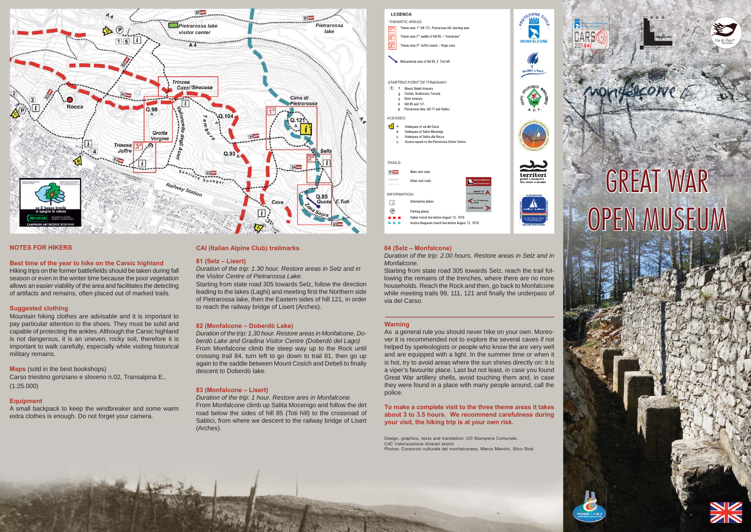#### **Warning**

As a general rule you should never hike on your own. Moreover it is recommended not to explore the several caves if not helped by speleologists or people who know the are very well and are equipped with a light. In the summer time or when it is hot, try to avoid areas where the sun shines directly on: it is a viper's favourite place. Last but not least, in case you found Great War artillery shells, avoid touching them and, in case they were found in a place with many people around, call the police.

**To make a complete visit to the three theme areas it takes about 3 to 3.5 hours. We recommend carefulness during your visit, the hiking trip is at your own risk.**

#### **84 (Selz – Monfalcone)**

*Duration of the trip: 2.00 hours. Restore areas in Selz and in Monfalcone.*

Starting from state road 305 towards Selz, reach the trail following the remains of the trenches, where there are no more households. Reach the Rock and then, go back to Monfalcone while meeting trails 99, 111, 121 and finally the underpass of via del Carso.

#### **CAI (Italian Alpine Club) trailmarks**

#### **81 (Selz – Lisert)**

*Duration of the trip: 1.30 hour. Restore areas in Selz and in the Visitor Centre of Pietrarossa Lake.*

Hiking trips on the former battlefields should be taken during fall season or even in the winter time because the poor vegetation allows an easier viability of the area and facilitates the detecting of artifacts and remains, often placed out of marked trails.

Starting from state road 305 towards Selz, follow the direction leading to the lakes (Laghi) and meeting first the Northern side of Pietrarossa lake, then the Eastern sides of hill 121, in order to reach the railway bridge of Lisert (Arches).

#### **82 (Monfalcone – Doberdò Lake)**

*Duration of the trip: 1.30 hour. Restore areas in Monfalcone, Doberdò Lake and Gradina Visitor Centre (Doberdò del Lago)* From Monfalcone climb the steep way up to the Rock until crossing trail 84, turn left to go down to trail 81, then go up again to the saddle between Mount Cosich and Debeli to finally descent to Doberdò lake.

#### **83 (Monfalcone – Lisert)**

*Duration of the trip: 1 hour. Restore ares in Monfalcone.* From Monfalcone climb up Salita Mocenigo and follow the dirt road below the sides of hill 85 (Toti hill) to the crossroad of Sablici, from where we descent to the railway bridge of Lisert (Arches).

#### **NOTES FOR HIKERS**

#### **Best time of the year to hike on the Carsic highland**

#### **Suggested clothing**

Mountain hiking clothes are advisable and it is important to pay particular attention to the shoes. They must be solid and capable of protecting the ankles. Although the Carsic highland is not dangerous, it is an uneven, rocky soil, therefore it is important to walk carefully, especially while visiting historical military remains.

**Maps** (sold in the best bookshops) Carso triestino goriziano e sloveno n.02, Transalpina E., (1:25.000)

#### **Equipment**

A small backpack to keep the windbreaker and some warm extra clothes is enough. Do not forget your camera.







# **GREAT WAR** OPEN MUSEUM









Design, graphics, texts and translation: UO Stamperia Comunale, CdC Valorizzazione itinerari storici Photos: Consorzio culturale del monfalconese, Marco Mantini, Silvo Stok